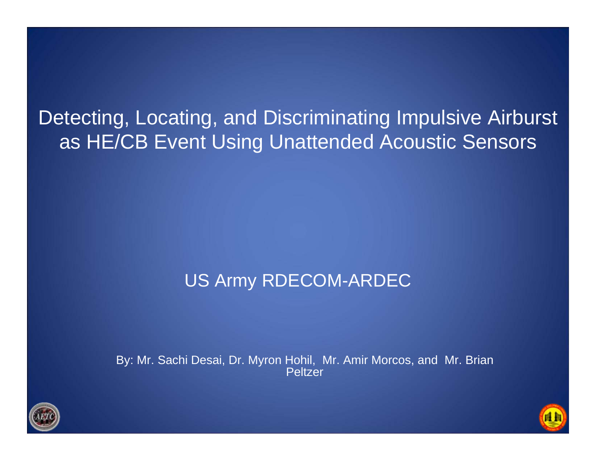Detecting, Locating, and Discriminating Impulsive Airburst as HE/CB Event Using Unattended Acoustic Sensors

### US Army RDECOM-ARDEC

By: Mr. Sachi Desai, Dr. Myron Hohil, Mr. Amir Morcos, and Mr. Brian Peltzer



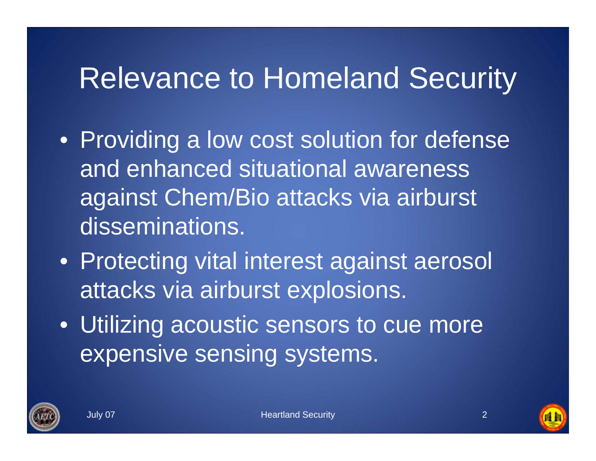### Relevance to Homeland Security

- Providing a low cost solution for defense and enhanced situational awareness against Chem/Bio attacks via airburst disseminations.
- Protecting vital interest against aerosol attacks via airburst explosions.
- Utilizing acoustic sensors to cue more expensive sensing systems.



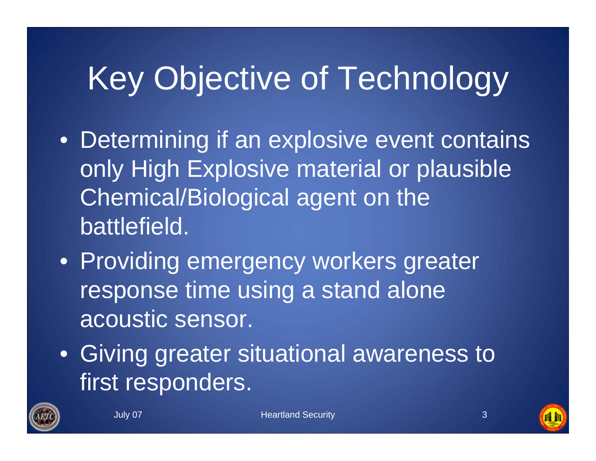# Key Objective of Technology

- Determining if an explosive event contains only High Explosive material or plausible Chemical/Biological agent on the battlefield.
- Providing emergency workers greater response time using a stand alone acoustic sensor.
- Giving greater situational awareness to first responders.



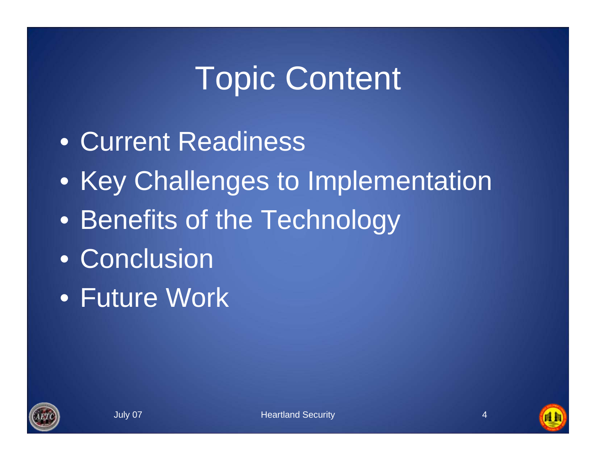# Topic Content

- Current Readiness
- Key Challenges to Implementation
- Benefits of the Technology
- Conclusion
- Future Work



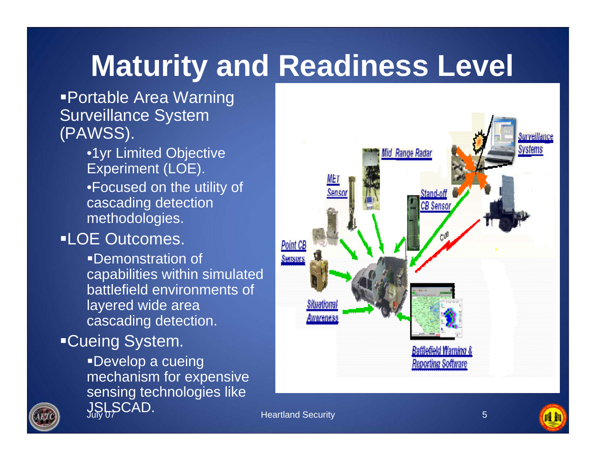## **Maturity and Readiness Level**

Portable Area Warning Surveillance System (PAWSS).

> •1yr Limited Objective Experiment (LOE).

•Focused on the utility of cascading detection methodologies.

### LOE Outcomes.

Demonstration of capabilities within simulated battlefield environments of layered wide area cascading detection.

#### Cueing System.

Develop a cueing mechanism for expensive sensing technologies like JSLSCAD. July 07 Heartland Security





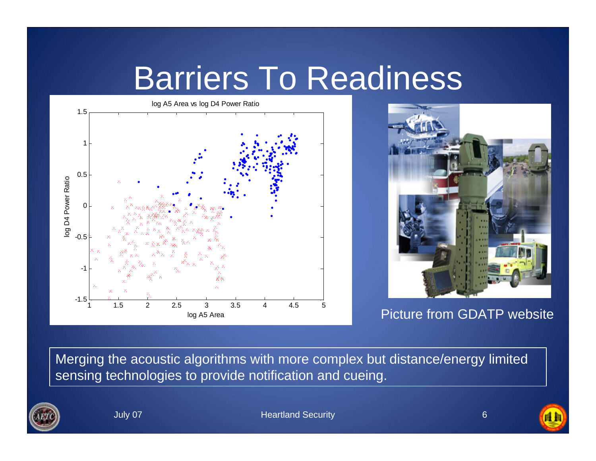### Barriers To Readiness

log A5 Area vs log D4 Power Ratio 1.510.5log D4 Power Ratio log D4 Power Ratio  $\Omega$ -0.5-1-1.53 3.5 4.5 5 Picture from GDATP website <sup>1</sup> 1.5 <sup>2</sup> 2.5 4log A5 Area



Merging the acoustic algorithms with more complex but distance/energy limited sensing technologies to provide notification and cueing.





自自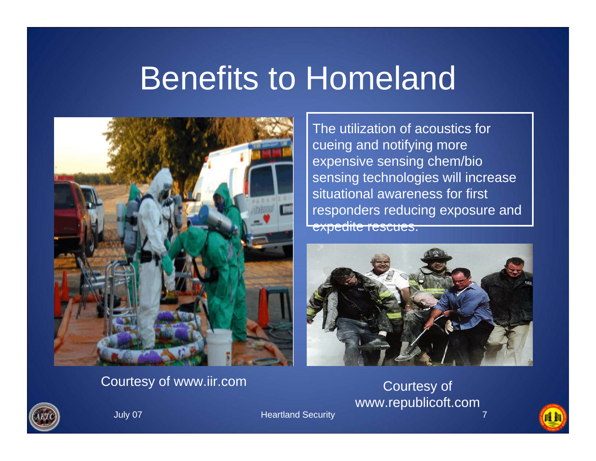## Benefits to Homeland



The utilization of acoustics for cueing and notifying more expensive sensing chem/bio sensing technologies will increase situational awareness for first responders reducing exposure and expedite rescues.



#### Courtesy of www.iir.com Courtesy of

## www.republicoft.com



**July 07** Heartland Security



自自